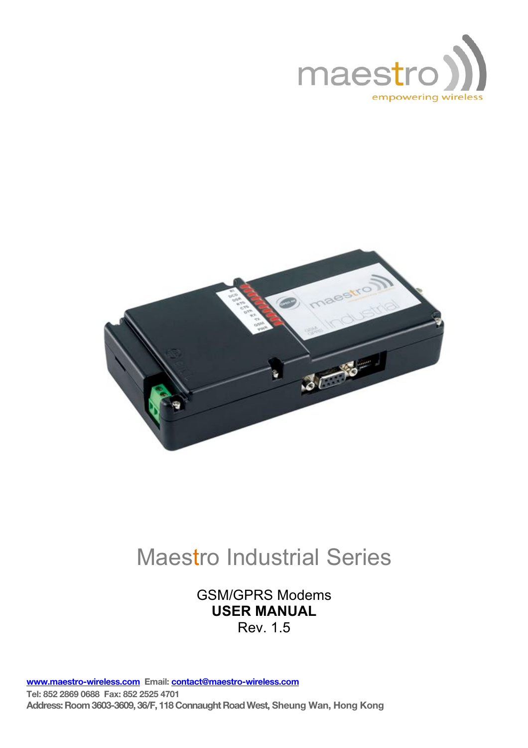



# Maestro Industrial Series

## GSM/GPRS Modems **USER MANUAL** Rev. 1.5

www.maestro-wireless.com Email: contact@maestro-wireless.com Tel: 852 2869 0688 Fax: 852 2525 4701 Address: Room 3603-3609, 36/F, 118 Connaught Road West, Sheung Wan, Hong Kong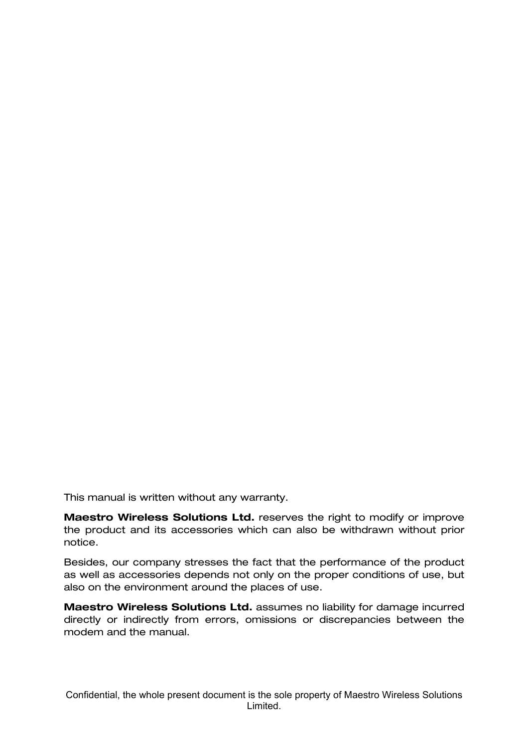This manual is written without any warranty.

Maestro Wireless Solutions Ltd. reserves the right to modify or improve the product and its accessories which can also be withdrawn without prior notice.

Besides, our company stresses the fact that the performance of the product as well as accessories depends not only on the proper conditions of use, but also on the environment around the places of use.

Maestro Wireless Solutions Ltd. assumes no liability for damage incurred directly or indirectly from errors, omissions or discrepancies between the modem and the manual.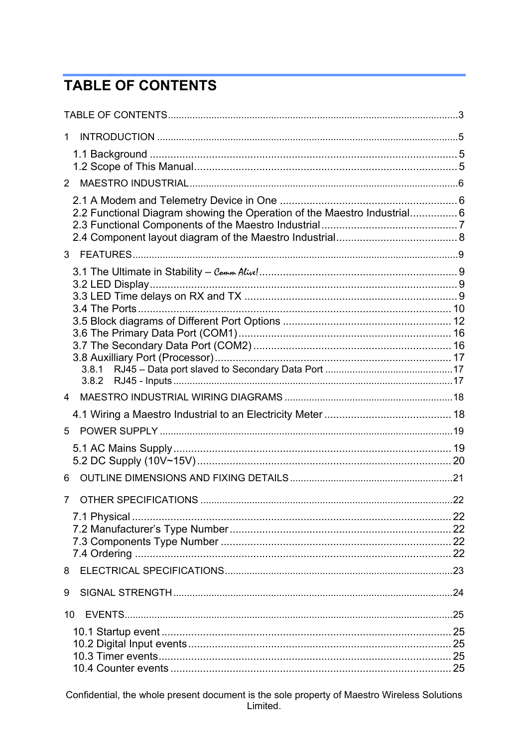# **TABLE OF CONTENTS**

| $2^{\circ}$                                                              |  |
|--------------------------------------------------------------------------|--|
|                                                                          |  |
| 2.2 Functional Diagram showing the Operation of the Maestro Industrial 6 |  |
|                                                                          |  |
|                                                                          |  |
|                                                                          |  |
|                                                                          |  |
|                                                                          |  |
|                                                                          |  |
|                                                                          |  |
|                                                                          |  |
|                                                                          |  |
|                                                                          |  |
|                                                                          |  |
| 4                                                                        |  |
|                                                                          |  |
| 5                                                                        |  |
|                                                                          |  |
|                                                                          |  |
| 6                                                                        |  |
| $7^{\circ}$                                                              |  |
|                                                                          |  |
|                                                                          |  |
|                                                                          |  |
|                                                                          |  |
| 8                                                                        |  |
| 9                                                                        |  |
| 10                                                                       |  |
|                                                                          |  |
|                                                                          |  |
|                                                                          |  |
|                                                                          |  |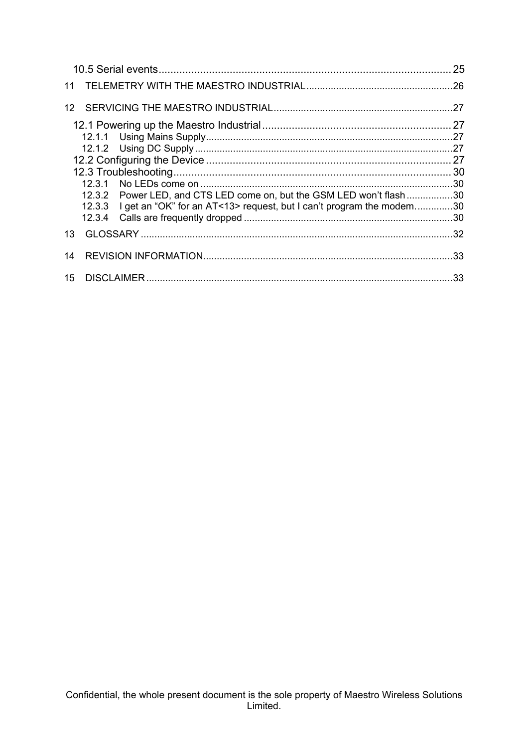|                 |                                                                             | 25 |
|-----------------|-----------------------------------------------------------------------------|----|
| 11              |                                                                             |    |
| 12 <sup>1</sup> |                                                                             |    |
|                 |                                                                             |    |
|                 |                                                                             |    |
|                 |                                                                             |    |
|                 |                                                                             |    |
|                 |                                                                             |    |
|                 |                                                                             |    |
|                 | 12.3.2 Power LED, and CTS LED come on, but the GSM LED won't flash30        |    |
|                 | 12.3.3 I get an "OK" for an AT<13> request, but I can't program the modem30 |    |
|                 |                                                                             |    |
| 13              |                                                                             |    |
| 14              |                                                                             |    |
| 15              |                                                                             |    |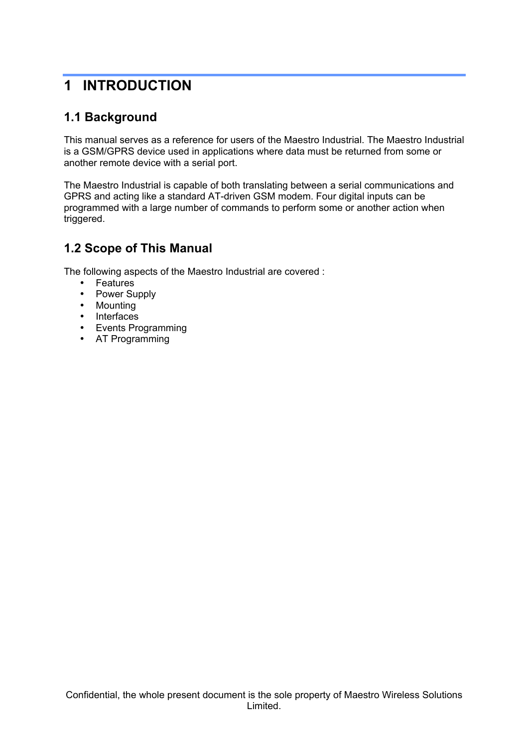## **1 INTRODUCTION**

### **1.1 Background**

This manual serves as a reference for users of the Maestro Industrial. The Maestro Industrial is a GSM/GPRS device used in applications where data must be returned from some or another remote device with a serial port.

The Maestro Industrial is capable of both translating between a serial communications and GPRS and acting like a standard AT-driven GSM modem. Four digital inputs can be programmed with a large number of commands to perform some or another action when triggered.

#### **1.2 Scope of This Manual**

The following aspects of the Maestro Industrial are covered :

- Features
- Power Supply
- Mounting
- Interfaces
- Events Programming
- AT Programming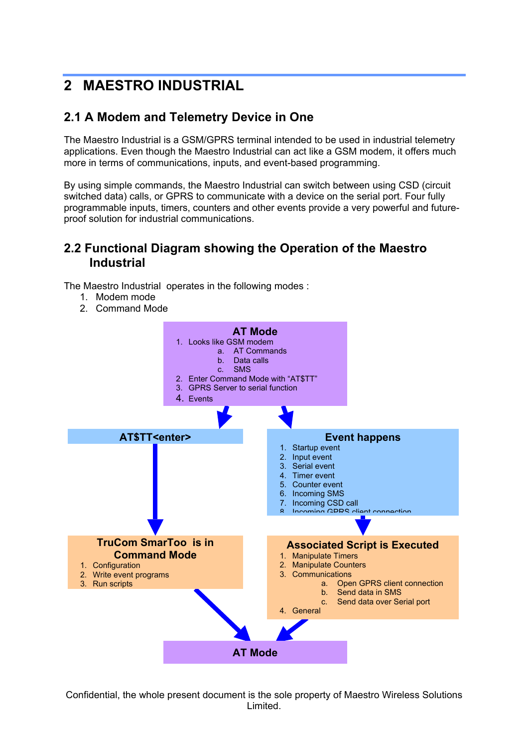# **2 MAESTRO INDUSTRIAL**

## **2.1 A Modem and Telemetry Device in One**

The Maestro Industrial is a GSM/GPRS terminal intended to be used in industrial telemetry applications. Even though the Maestro Industrial can act like a GSM modem, it offers much more in terms of communications, inputs, and event-based programming.

By using simple commands, the Maestro Industrial can switch between using CSD (circuit switched data) calls, or GPRS to communicate with a device on the serial port. Four fully programmable inputs, timers, counters and other events provide a very powerful and futureproof solution for industrial communications.

#### **2.2 Functional Diagram showing the Operation of the Maestro Industrial**

The Maestro Industrial operates in the following modes :

- 1. Modem mode
- 2. Command Mode

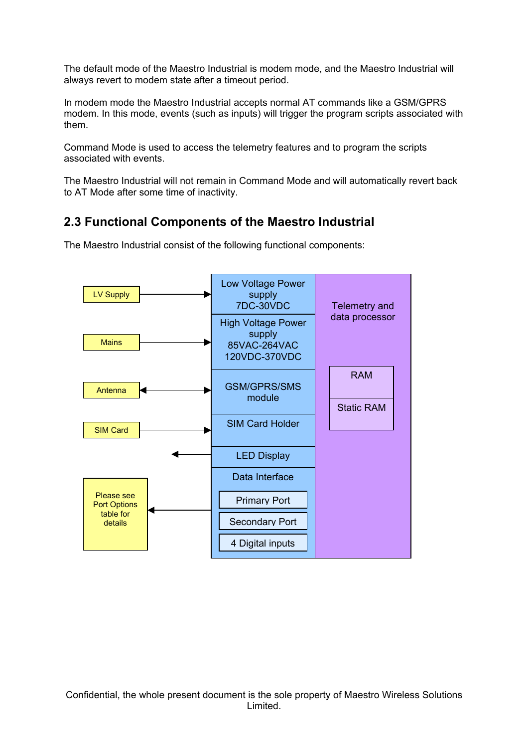The default mode of the Maestro Industrial is modem mode, and the Maestro Industrial will always revert to modem state after a timeout period.

In modem mode the Maestro Industrial accepts normal AT commands like a GSM/GPRS modem. In this mode, events (such as inputs) will trigger the program scripts associated with them.

Command Mode is used to access the telemetry features and to program the scripts associated with events.

The Maestro Industrial will not remain in Command Mode and will automatically revert back to AT Mode after some time of inactivity.

#### **2.3 Functional Components of the Maestro Industrial**



The Maestro Industrial consist of the following functional components: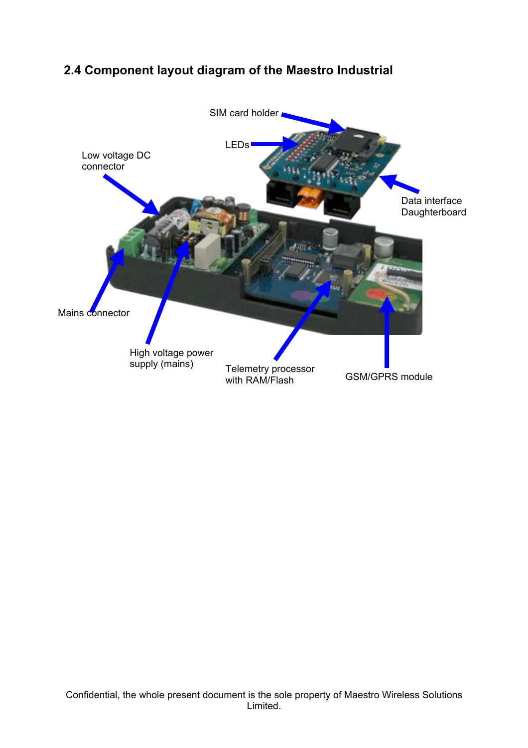## **2.4 Component layout diagram of the Maestro Industrial**

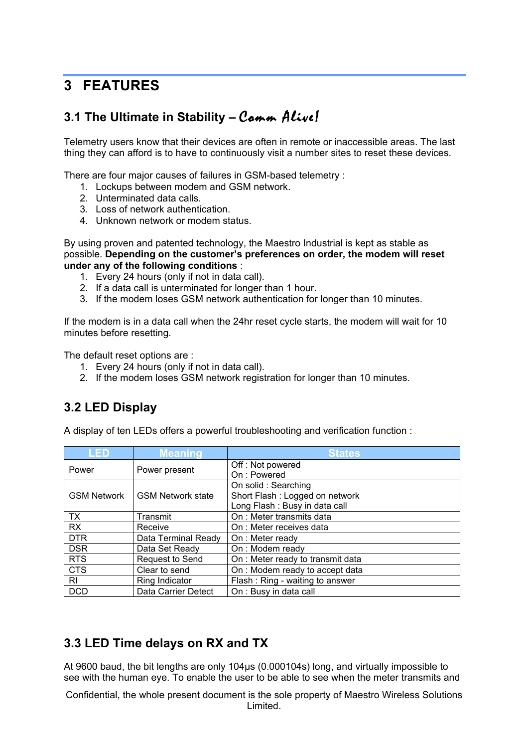## **3 FEATURES**

## **3.1 The Ultimate in Stability –** Comm Alive!

Telemetry users know that their devices are often in remote or inaccessible areas. The last thing they can afford is to have to continuously visit a number sites to reset these devices.

There are four major causes of failures in GSM-based telemetry :

- 1. Lockups between modem and GSM network.
- 2. Unterminated data calls.
- 3. Loss of network authentication.
- 4. Unknown network or modem status.

By using proven and patented technology, the Maestro Industrial is kept as stable as possible. **Depending on the customer's preferences on order, the modem will reset under any of the following conditions** :

- 1. Every 24 hours (only if not in data call).
- 2. If a data call is unterminated for longer than 1 hour.
- 3. If the modem loses GSM network authentication for longer than 10 minutes.

If the modem is in a data call when the 24hr reset cycle starts, the modem will wait for 10 minutes before resetting.

The default reset options are :

- 1. Every 24 hours (only if not in data call).
- 2. If the modem loses GSM network registration for longer than 10 minutes.

#### **3.2 LED Display**

A display of ten LEDs offers a powerful troubleshooting and verification function :

| <b>LED</b>         | <b>Meaning</b>           | <b>States</b>                     |
|--------------------|--------------------------|-----------------------------------|
| Power              | Power present            | Off: Not powered                  |
|                    |                          | On: Powered                       |
|                    |                          | On solid: Searching               |
| <b>GSM Network</b> | <b>GSM Network state</b> | Short Flash: Logged on network    |
|                    |                          | Long Flash: Busy in data call     |
| TX                 | Transmit                 | On : Meter transmits data         |
| <b>RX</b>          | Receive                  | On : Meter receives data          |
| <b>DTR</b>         | Data Terminal Ready      | On: Meter ready                   |
| <b>DSR</b>         | Data Set Ready           | On: Modem ready                   |
| <b>RTS</b>         | Request to Send          | On : Meter ready to transmit data |
| <b>CTS</b>         | Clear to send            | On : Modem ready to accept data   |
| RI                 | Ring Indicator           | Flash: Ring - waiting to answer   |
| <b>DCD</b>         | Data Carrier Detect      | On : Busy in data call            |

#### **3.3 LED Time delays on RX and TX**

At 9600 baud, the bit lengths are only 104 us (0.000104s) long, and virtually impossible to see with the human eye. To enable the user to be able to see when the meter transmits and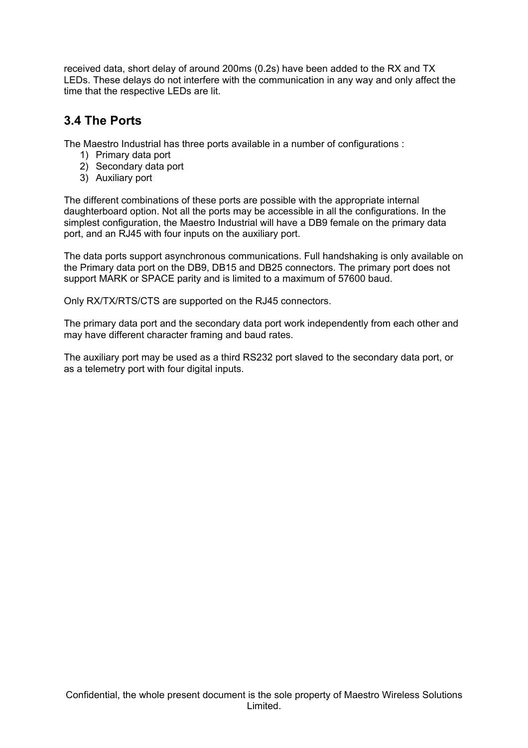received data, short delay of around 200ms (0.2s) have been added to the RX and TX LEDs. These delays do not interfere with the communication in any way and only affect the time that the respective LEDs are lit.

### **3.4 The Ports**

The Maestro Industrial has three ports available in a number of configurations :

- 1) Primary data port
- 2) Secondary data port
- 3) Auxiliary port

The different combinations of these ports are possible with the appropriate internal daughterboard option. Not all the ports may be accessible in all the configurations. In the simplest configuration, the Maestro Industrial will have a DB9 female on the primary data port, and an RJ45 with four inputs on the auxiliary port.

The data ports support asynchronous communications. Full handshaking is only available on the Primary data port on the DB9, DB15 and DB25 connectors. The primary port does not support MARK or SPACE parity and is limited to a maximum of 57600 baud.

Only RX/TX/RTS/CTS are supported on the RJ45 connectors.

The primary data port and the secondary data port work independently from each other and may have different character framing and baud rates.

The auxiliary port may be used as a third RS232 port slaved to the secondary data port, or as a telemetry port with four digital inputs.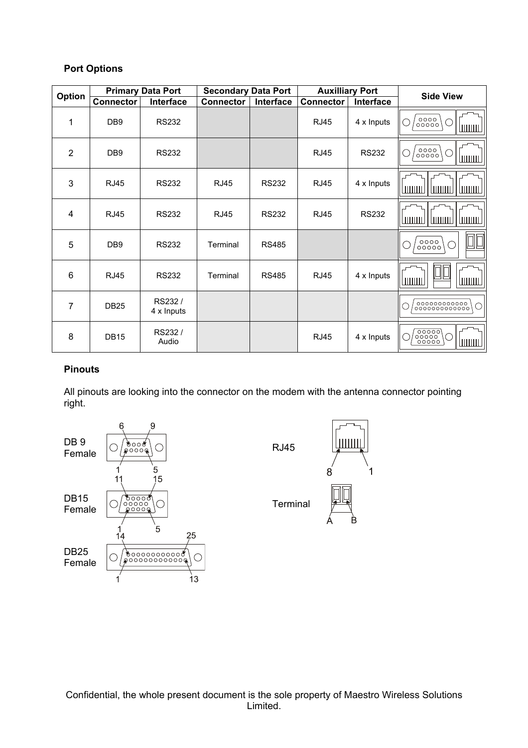#### **Port Options**

|                | <b>Primary Data Port</b> |                      | <b>Secondary Data Port</b> |              |                  | <b>Auxilliary Port</b> | <b>Side View</b>                                        |
|----------------|--------------------------|----------------------|----------------------------|--------------|------------------|------------------------|---------------------------------------------------------|
| Option         | <b>Connector</b>         | Interface            | <b>Connector</b>           | Interface    | <b>Connector</b> | Interface              |                                                         |
| 1              | DB <sub>9</sub>          | <b>RS232</b>         |                            |              | <b>RJ45</b>      | 4 x Inputs             | 0000  <br>  00000<br>( )<br><u>luuuul</u>               |
| $\overline{2}$ | DB <sub>9</sub>          | <b>RS232</b>         |                            |              | <b>RJ45</b>      | <b>RS232</b>           | 0000  <br>  00000<br>◯<br><u> Ішши</u>                  |
| 3              | <b>RJ45</b>              | <b>RS232</b>         | <b>RJ45</b>                | <b>RS232</b> | <b>RJ45</b>      | 4 x Inputs             | ШШШ<br><b>LILITILILL</b>                                |
| 4              | <b>RJ45</b>              | <b>RS232</b>         | <b>RJ45</b>                | <b>RS232</b> | <b>RJ45</b>      | <b>RS232</b>           | <u>  uuuu</u><br>ШШШ<br><b>Luurud</b>                   |
| 5              | DB <sub>9</sub>          | <b>RS232</b>         | Terminal                   | <b>RS485</b> |                  |                        | 0000<br>$\mathbf{1}$<br>00000                           |
| $\,6$          | <b>RJ45</b>              | <b>RS232</b>         | Terminal                   | <b>RS485</b> | <b>RJ45</b>      | 4 x Inputs             | шшш<br>ШШШ                                              |
| $\overline{7}$ | <b>DB25</b>              | RS232/<br>4 x Inputs |                            |              |                  |                        | , 00000000000,<br>,000000000000                         |
| 8              | <b>DB15</b>              | RS232/<br>Audio      |                            |              | <b>RJ45</b>      | 4 x Inputs             | ဖြစ္ပစ္ပစ္ပ<br>$\epsilon$ )<br><b>LULLULLI</b><br>00000 |

#### **Pinouts**

All pinouts are looking into the connector on the modem with the antenna connector pointing right.

1

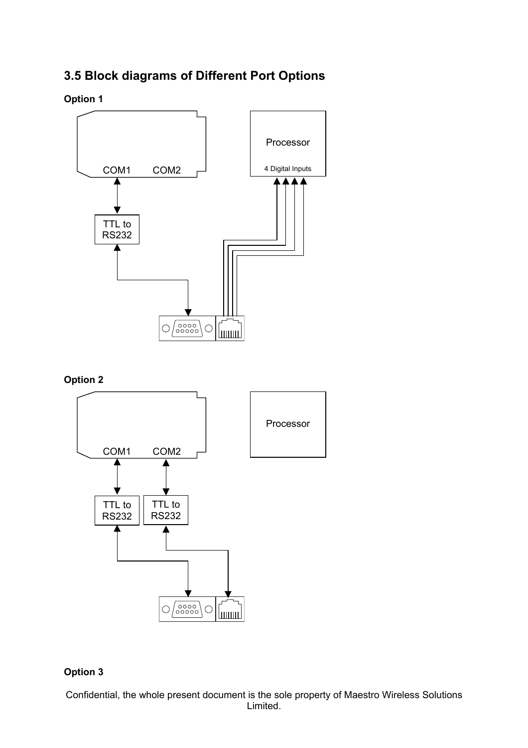## **3.5 Block diagrams of Different Port Options**

**Option 1**



**Option 2**



#### **Option 3**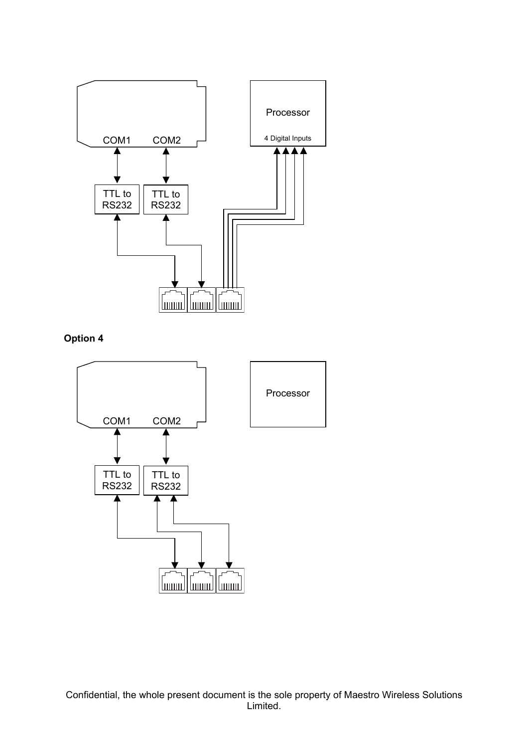

**Option 4**

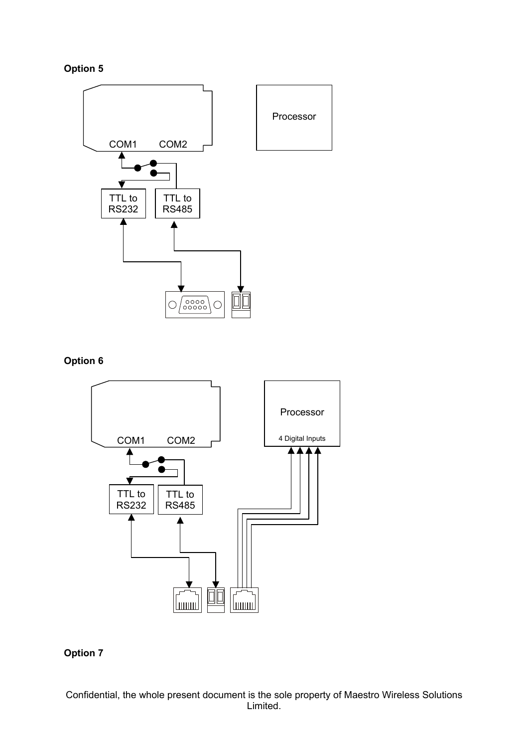



#### **Option 6**



#### **Option 7**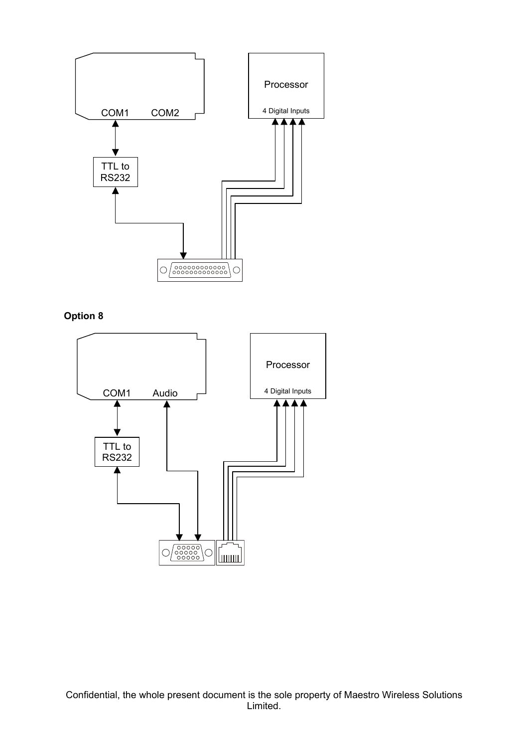

**Option 8**

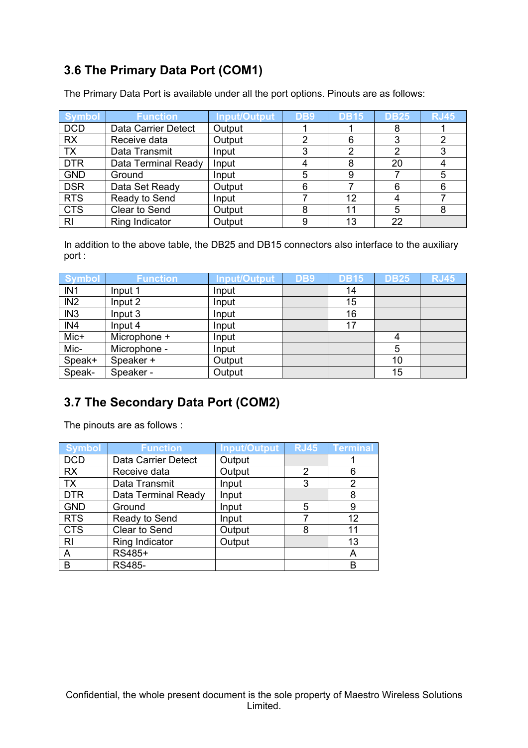## **3.6 The Primary Data Port (COM1)**

The Primary Data Port is available under all the port options. Pinouts are as follows:

| <b>Symbol</b> | <b>Function</b>     | <b>Input/Output</b> | DB9 | <b>DB15</b> | <b>DB25</b> | <b>RJ45</b> |
|---------------|---------------------|---------------------|-----|-------------|-------------|-------------|
| <b>DCD</b>    | Data Carrier Detect | Output              |     |             | 8           |             |
| <b>RX</b>     | Receive data        | Output              | ົ   | 6           | 3           |             |
| <b>TX</b>     | Data Transmit       | Input               | ≏   | າ           | 2           |             |
| <b>DTR</b>    | Data Terminal Ready | Input               |     | 8           | 20          |             |
| <b>GND</b>    | Ground              | Input               |     | 9           |             | 5           |
| <b>DSR</b>    | Data Set Ready      | Output              |     |             | 6           | 6           |
| <b>RTS</b>    | Ready to Send       | Input               |     | 12          |             |             |
| <b>CTS</b>    | Clear to Send       | Output              |     | 11          | 5           |             |
| <b>RI</b>     | Ring Indicator      | Output              |     | 13          | 22          |             |

In addition to the above table, the DB25 and DB15 connectors also interface to the auxiliary port :

| <b>Symbol</b>   | <b>Function</b> | <b>Input/Output</b> | DB9 | <b>DB15</b> | <b>DB25</b> | <b>RJ45</b> |
|-----------------|-----------------|---------------------|-----|-------------|-------------|-------------|
| IN <sub>1</sub> | Input 1         | Input               |     | 14          |             |             |
| IN <sub>2</sub> | Input 2         | Input               |     | 15          |             |             |
| IN <sub>3</sub> | Input 3         | Input               |     | 16          |             |             |
| IN4             | Input 4         | Input               |     | 17          |             |             |
| Mic+            | Microphone +    | Input               |     |             | 4           |             |
| Mic-            | Microphone -    | Input               |     |             | 5           |             |
| Speak+          | Speaker +       | Output              |     |             | 10          |             |
| Speak-          | Speaker -       | Output              |     |             | 15          |             |

## **3.7 The Secondary Data Port (COM2)**

The pinouts are as follows :

| <b>Symbol</b>  | <b>Function</b>     | Input/Output | <b>RJ45</b> | <b>Terminal</b> |
|----------------|---------------------|--------------|-------------|-----------------|
| <b>DCD</b>     | Data Carrier Detect | Output       |             |                 |
| <b>RX</b>      | Receive data        | Output       | 2           | 6               |
| <b>TX</b>      | Data Transmit       | Input        | 3           | 2               |
| <b>DTR</b>     | Data Terminal Ready | Input        |             | 8               |
| <b>GND</b>     | Ground              | Input        | 5           | 9               |
| <b>RTS</b>     | Ready to Send       | Input        |             | 12              |
| <b>CTS</b>     | Clear to Send       | Output       | 8           | 11              |
| R <sub>l</sub> | Ring Indicator      | Output       |             | 13              |
| A              | RS485+              |              |             | A               |
| B              | <b>RS485-</b>       |              |             | в               |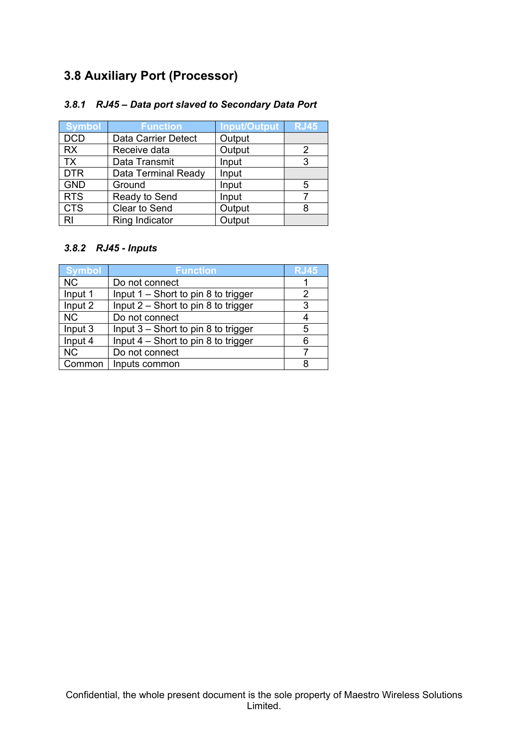## **3.8 Auxiliary Port (Processor)**

#### *3.8.1 RJ45 – Data port slaved to Secondary Data Port*

| <b>Symbol</b>  | <b>Function</b>     | <b>Input/Output</b> | <b>RJ45</b> |
|----------------|---------------------|---------------------|-------------|
| <b>DCD</b>     | Data Carrier Detect | Output              |             |
| <b>RX</b>      | Receive data        | Output              | 2           |
| <b>TX</b>      | Data Transmit       | Input               | 3           |
| <b>DTR</b>     | Data Terminal Ready | Input               |             |
| <b>GND</b>     | Ground              | Input               | 5           |
| <b>RTS</b>     | Ready to Send       | Input               |             |
| <b>CTS</b>     | Clear to Send       | Output              | 8           |
| R <sub>l</sub> | Ring Indicator      | Output              |             |

#### *3.8.2 RJ45 - Inputs*

| <b>Symbol</b> | <b>Function</b>                     | <b>RJ45</b> |
|---------------|-------------------------------------|-------------|
| <b>NC</b>     | Do not connect                      |             |
| Input 1       | Input 1 - Short to pin 8 to trigger |             |
| Input 2       | Input 2 - Short to pin 8 to trigger | 3           |
| <b>NC</b>     | Do not connect                      | 4           |
| Input 3       | Input 3 - Short to pin 8 to trigger | 5           |
| Input 4       | Input 4 - Short to pin 8 to trigger | 6           |
| <b>NC</b>     | Do not connect                      |             |
| Common        | Inputs common                       |             |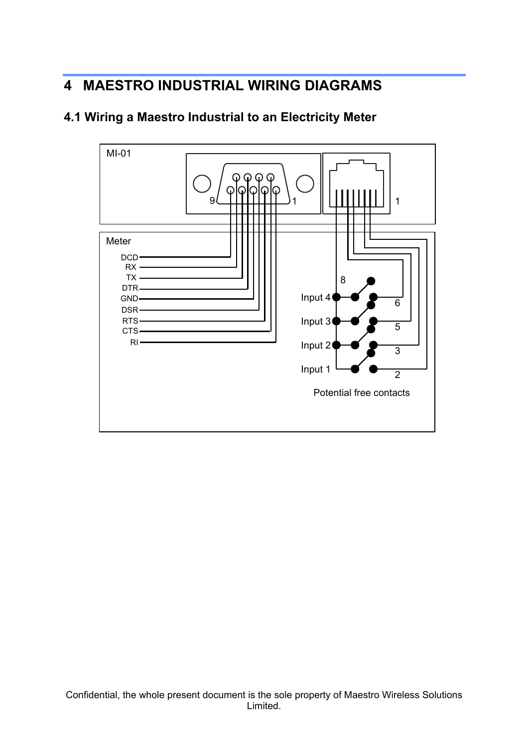# **4 MAESTRO INDUSTRIAL WIRING DIAGRAMS**



### **4.1 Wiring a Maestro Industrial to an Electricity Meter**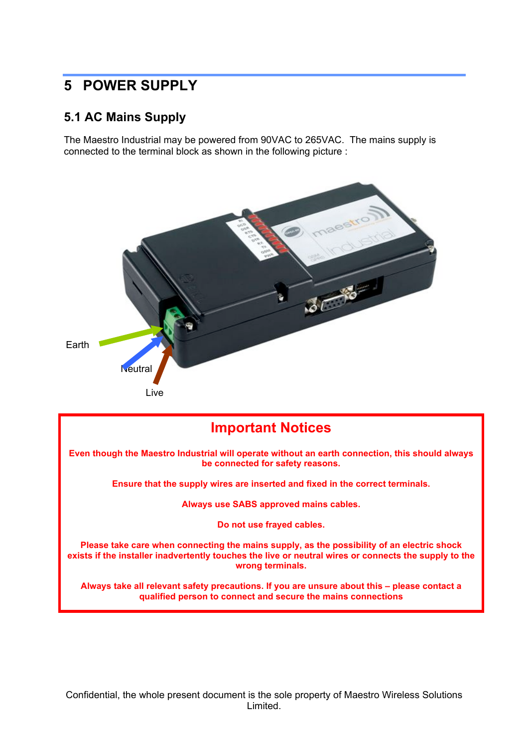## **5 POWER SUPPLY**

#### **5.1 AC Mains Supply**

The Maestro Industrial may be powered from 90VAC to 265VAC. The mains supply is connected to the terminal block as shown in the following picture :



## **Important Notices Even though the Maestro Industrial will operate without an earth connection, this should always be connected for safety reasons. Ensure that the supply wires are inserted and fixed in the correct terminals. Always use SABS approved mains cables. Do not use frayed cables. Please take care when connecting the mains supply, as the possibility of an electric shock exists if the installer inadvertently touches the live or neutral wires or connects the supply to the wrong terminals. Always take all relevant safety precautions. If you are unsure about this – please contact a qualified person to connect and secure the mains connections**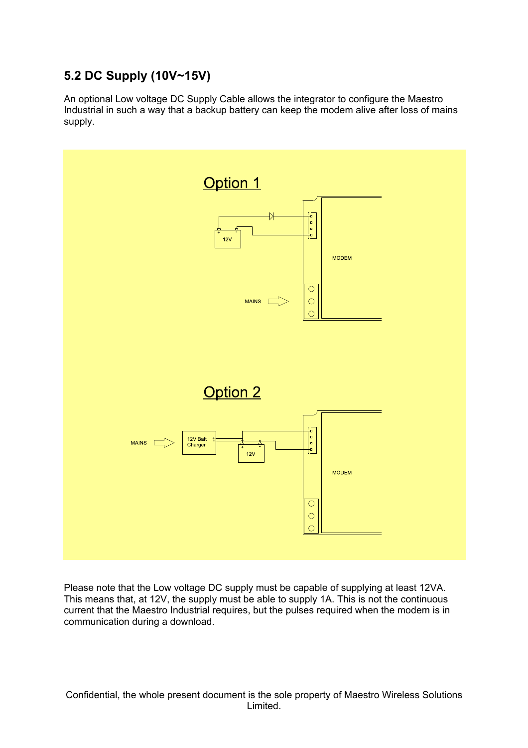## **5.2 DC Supply (10V~15V)**

An optional Low voltage DC Supply Cable allows the integrator to configure the Maestro Industrial in such a way that a backup battery can keep the modem alive after loss of mains supply.



Please note that the Low voltage DC supply must be capable of supplying at least 12VA. This means that, at 12V, the supply must be able to supply 1A. This is not the continuous current that the Maestro Industrial requires, but the pulses required when the modem is in communication during a download.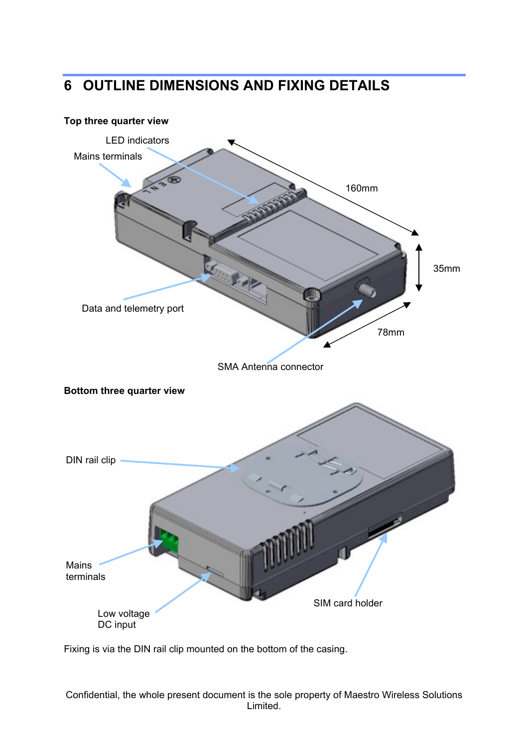# **6 OUTLINE DIMENSIONS AND FIXING DETAILS**

# **Top three quarter view Bottom three quarter view** 35mm 160mm 78mm Mains terminals Data and telemetry port SMA Antenna connector LED indicators Mains terminals SIM card holder Low voltage DC input DIN rail clip

Fixing is via the DIN rail clip mounted on the bottom of the casing.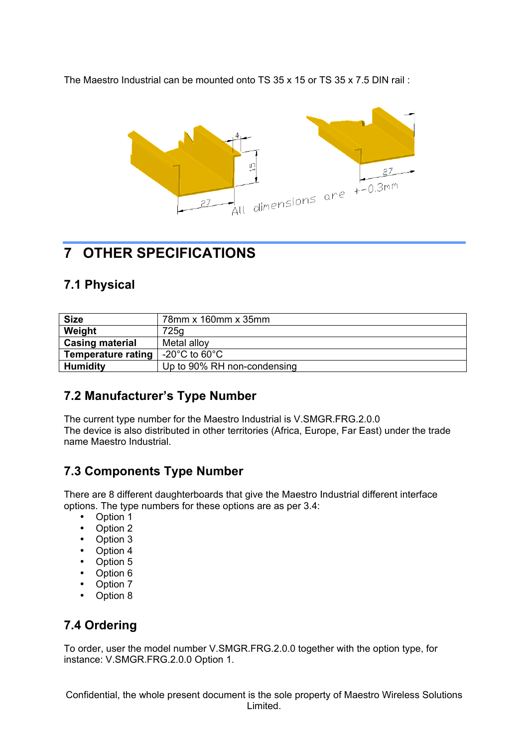The Maestro Industrial can be mounted onto TS 35 x 15 or TS 35 x 7.5 DIN rail :



# **7 OTHER SPECIFICATIONS**

#### **7.1 Physical**

| <b>Size</b>               | 78mm x 160mm x 35mm                 |
|---------------------------|-------------------------------------|
| Weight                    | 725g                                |
| <b>Casing material</b>    | Metal alloy                         |
| <b>Temperature rating</b> | -20 $^{\circ}$ C to 60 $^{\circ}$ C |
| <b>Humidity</b>           | Up to 90% RH non-condensing         |

## **7.2 Manufacturer's Type Number**

The current type number for the Maestro Industrial is V.SMGR.FRG.2.0.0 The device is also distributed in other territories (Africa, Europe, Far East) under the trade name Maestro Industrial.

## **7.3 Components Type Number**

There are 8 different daughterboards that give the Maestro Industrial different interface options. The type numbers for these options are as per 3.4:

- Option 1
- Option 2
- Option 3
- Option 4<br>• Option 5
- Option 5
- Option 6
- Option  $\overline{7}$ <br>• Option  $\overline{9}$
- Option 8

## **7.4 Ordering**

To order, user the model number V.SMGR.FRG.2.0.0 together with the option type, for instance: V.SMGR.FRG.2.0.0 Option 1.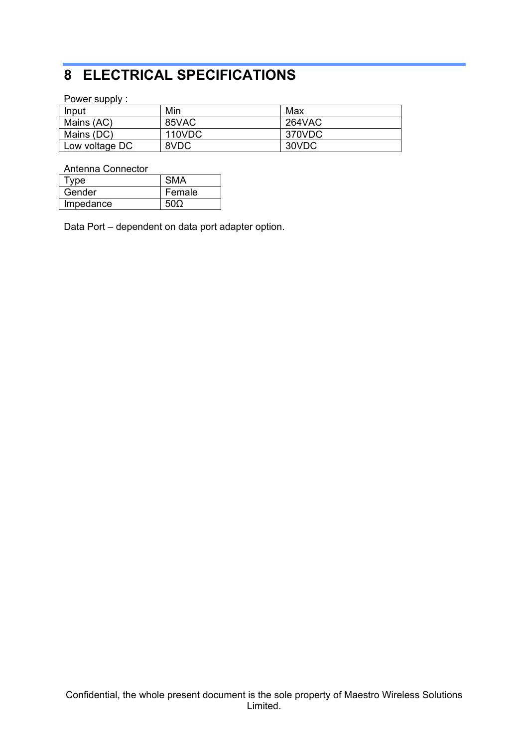# **8 ELECTRICAL SPECIFICATIONS**

Power supply :

| Input          | Min    | Max           |
|----------------|--------|---------------|
| Mains (AC)     | 85VAC  | <b>264VAC</b> |
| Mains (DC)     | 110VDC | 370VDC        |
| Low voltage DC | 8VDC   | 30VDC         |

Antenna Connector

| vne       |        |
|-----------|--------|
| Gender    | Female |
| Impedance |        |

Data Port – dependent on data port adapter option.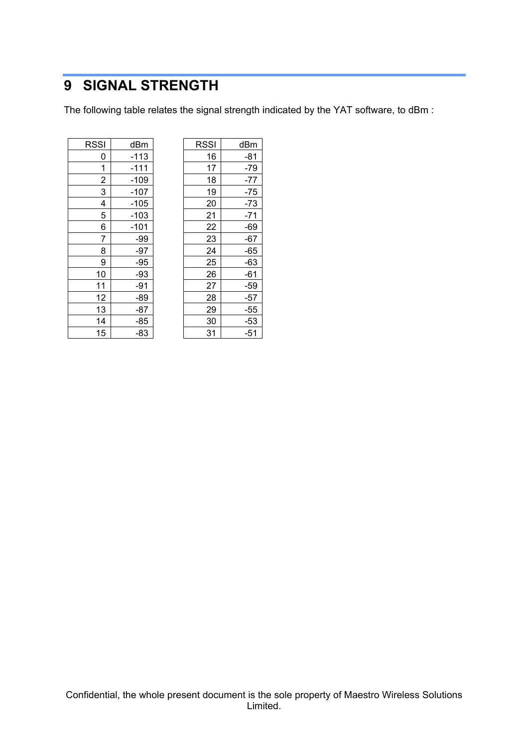# **SIGNAL STRENGTH**

The following table relates the signal strength indicated by the YAT software, to dBm :

| RSSI                    | dBm    |
|-------------------------|--------|
| 0                       | -113   |
| 1                       | -111   |
| $\overline{2}$          | $-109$ |
| 3                       | $-107$ |
| $\overline{\mathbf{4}}$ | $-105$ |
| 5                       | $-103$ |
| 6                       | $-101$ |
| $\overline{7}$          | -99    |
| 8                       | $-97$  |
| 9                       | $-95$  |
| 10                      | $-93$  |
| 11                      | $-91$  |
| 12                      | $-89$  |
| 13                      | $-87$  |
| 14                      | $-85$  |
| 15                      | -83    |

| RSSI | dBm    | <b>RSSI</b> |    | dBm   |
|------|--------|-------------|----|-------|
| 0    | $-113$ |             | 16 | $-81$ |
| 1    | $-111$ |             | 17 | $-79$ |
| 2    | $-109$ |             | 18 | $-77$ |
| 3    | $-107$ |             | 19 | $-75$ |
| 4    | $-105$ |             | 20 | $-73$ |
| 5    | $-103$ |             | 21 | $-71$ |
| 6    | $-101$ |             | 22 | $-69$ |
| 7    | $-99$  |             | 23 | $-67$ |
| 8    | $-97$  |             | 24 | $-65$ |
| 9    | $-95$  |             | 25 | $-63$ |
| 10   | -93    |             | 26 | $-61$ |
| 11   | $-91$  |             | 27 | $-59$ |
| 12   | $-89$  |             | 28 | $-57$ |
| 13   | -87    |             | 29 | $-55$ |
| 14   | $-85$  |             | 30 | $-53$ |
| 15   | -83    |             | 31 | $-51$ |
|      |        |             |    |       |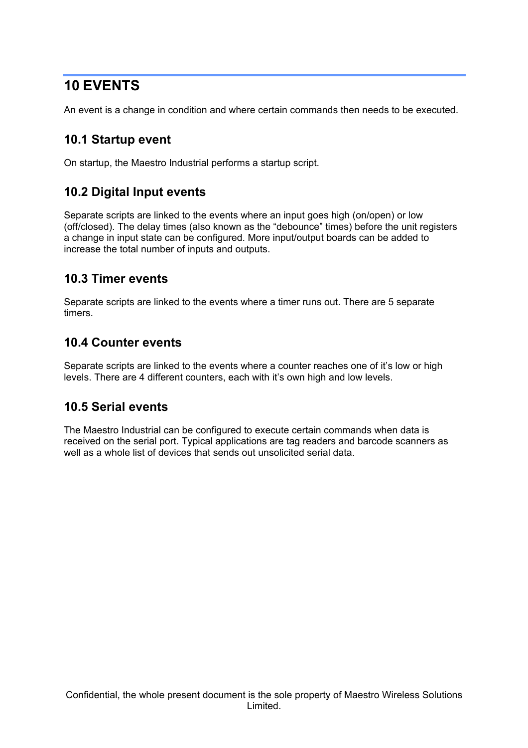## **10 EVENTS**

An event is a change in condition and where certain commands then needs to be executed.

#### **10.1 Startup event**

On startup, the Maestro Industrial performs a startup script.

### **10.2 Digital Input events**

Separate scripts are linked to the events where an input goes high (on/open) or low (off/closed). The delay times (also known as the "debounce" times) before the unit registers a change in input state can be configured. More input/output boards can be added to increase the total number of inputs and outputs.

#### **10.3 Timer events**

Separate scripts are linked to the events where a timer runs out. There are 5 separate timers.

#### **10.4 Counter events**

Separate scripts are linked to the events where a counter reaches one of it's low or high levels. There are 4 different counters, each with it's own high and low levels.

#### **10.5 Serial events**

The Maestro Industrial can be configured to execute certain commands when data is received on the serial port. Typical applications are tag readers and barcode scanners as well as a whole list of devices that sends out unsolicited serial data.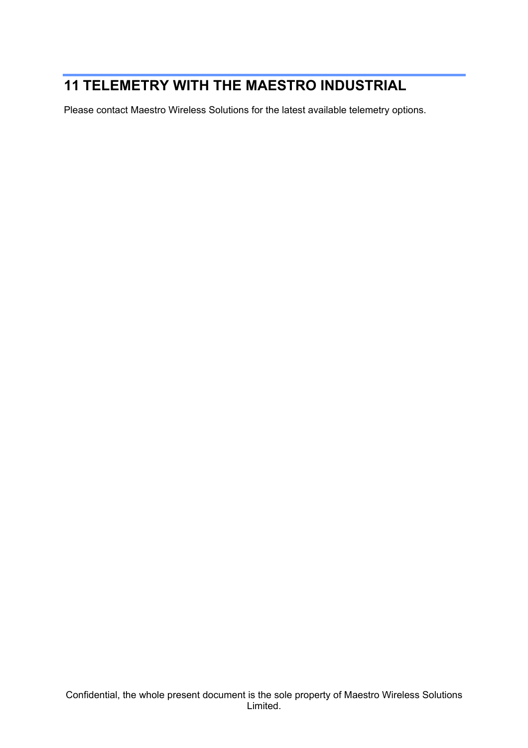# **11 TELEMETRY WITH THE MAESTRO INDUSTRIAL**

Please contact Maestro Wireless Solutions for the latest available telemetry options.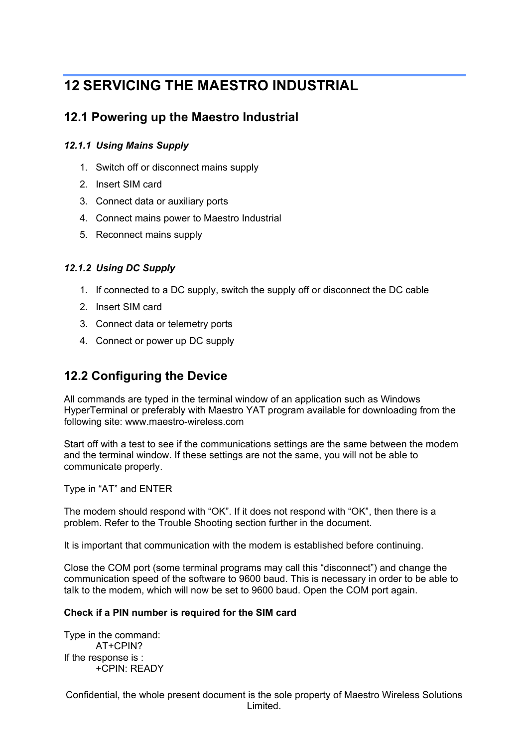## **12 SERVICING THE MAESTRO INDUSTRIAL**

#### **12.1 Powering up the Maestro Industrial**

#### *12.1.1 Using Mains Supply*

- 1. Switch off or disconnect mains supply
- 2. Insert SIM card
- 3. Connect data or auxiliary ports
- 4. Connect mains power to Maestro Industrial
- 5. Reconnect mains supply

#### *12.1.2 Using DC Supply*

- 1. If connected to a DC supply, switch the supply off or disconnect the DC cable
- 2. Insert SIM card
- 3. Connect data or telemetry ports
- 4. Connect or power up DC supply

### **12.2 Configuring the Device**

All commands are typed in the terminal window of an application such as Windows HyperTerminal or preferably with Maestro YAT program available for downloading from the following site: www.maestro-wireless.com

Start off with a test to see if the communications settings are the same between the modem and the terminal window. If these settings are not the same, you will not be able to communicate properly.

Type in "AT" and ENTER

The modem should respond with "OK". If it does not respond with "OK", then there is a problem. Refer to the Trouble Shooting section further in the document.

It is important that communication with the modem is established before continuing.

Close the COM port (some terminal programs may call this "disconnect") and change the communication speed of the software to 9600 baud. This is necessary in order to be able to talk to the modem, which will now be set to 9600 baud. Open the COM port again.

#### **Check if a PIN number is required for the SIM card**

Type in the command: AT+CPIN? If the response is : +CPIN: READY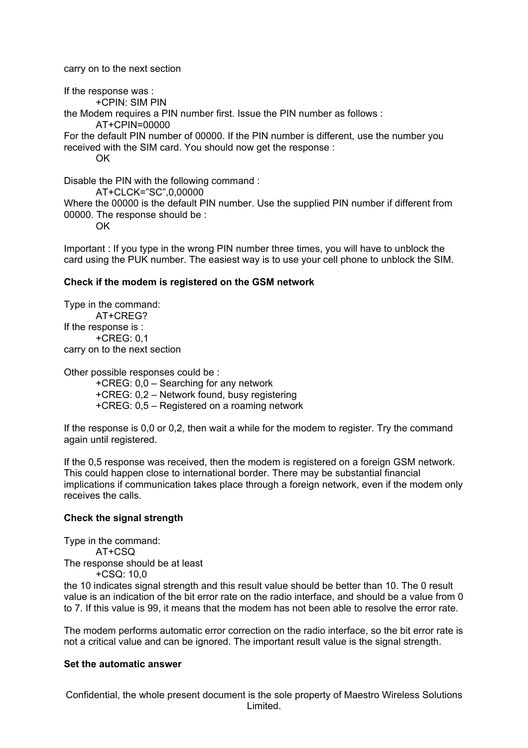carry on to the next section

If the response was : +CPIN: SIM PIN the Modem requires a PIN number first. Issue the PIN number as follows : AT+CPIN=00000 For the default PIN number of 00000. If the PIN number is different, use the number you received with the SIM card. You should now get the response : OK Disable the PIN with the following command : AT+CLCK="SC",0,00000

Where the 00000 is the default PIN number. Use the supplied PIN number if different from 00000. The response should be :

OK

Important : If you type in the wrong PIN number three times, you will have to unblock the card using the PUK number. The easiest way is to use your cell phone to unblock the SIM.

#### **Check if the modem is registered on the GSM network**

Type in the command: AT+CREG? If the response is : +CREG: 0,1 carry on to the next section

Other possible responses could be :

+CREG: 0,0 – Searching for any network

+CREG: 0,2 – Network found, busy registering

+CREG: 0,5 – Registered on a roaming network

If the response is 0,0 or 0,2, then wait a while for the modem to register. Try the command again until registered.

If the 0,5 response was received, then the modem is registered on a foreign GSM network. This could happen close to international border. There may be substantial financial implications if communication takes place through a foreign network, even if the modem only receives the calls.

#### **Check the signal strength**

Type in the command: AT+CSQ The response should be at least

+CSQ: 10,0

the 10 indicates signal strength and this result value should be better than 10. The 0 result value is an indication of the bit error rate on the radio interface, and should be a value from 0 to 7. If this value is 99, it means that the modem has not been able to resolve the error rate.

The modem performs automatic error correction on the radio interface, so the bit error rate is not a critical value and can be ignored. The important result value is the signal strength.

#### **Set the automatic answer**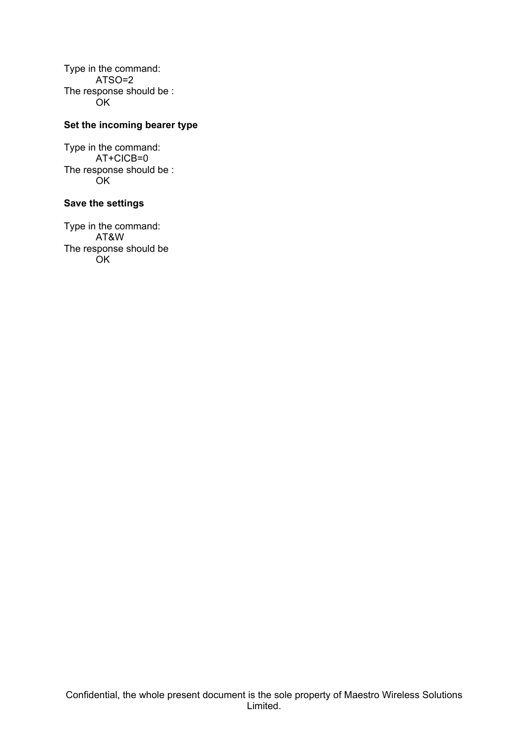Type in the command: ATSO=2 The response should be : OK

#### **Set the incoming bearer type**

Type in the command: AT+CICB=0 The response should be : **OK** 

#### **Save the settings**

Type in the command: AT&W The response should be OK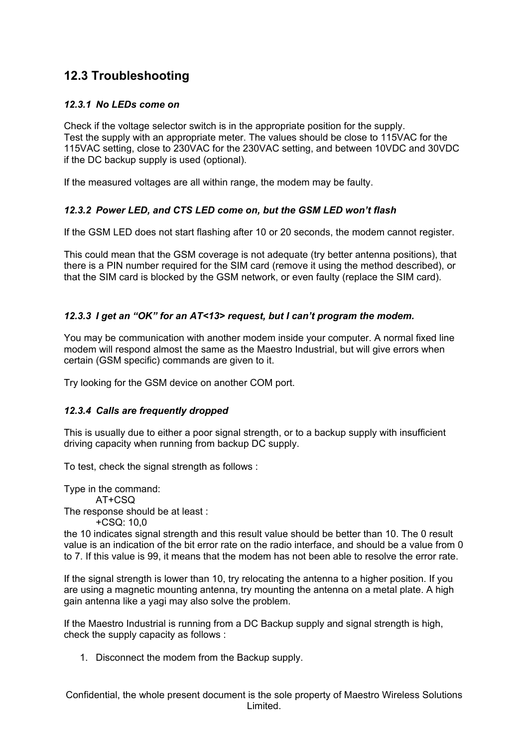## **12.3 Troubleshooting**

#### *12.3.1 No LEDs come on*

Check if the voltage selector switch is in the appropriate position for the supply. Test the supply with an appropriate meter. The values should be close to 115VAC for the 115VAC setting, close to 230VAC for the 230VAC setting, and between 10VDC and 30VDC if the DC backup supply is used (optional).

If the measured voltages are all within range, the modem may be faulty.

#### *12.3.2 Power LED, and CTS LED come on, but the GSM LED won't flash*

If the GSM LED does not start flashing after 10 or 20 seconds, the modem cannot register.

This could mean that the GSM coverage is not adequate (try better antenna positions), that there is a PIN number required for the SIM card (remove it using the method described), or that the SIM card is blocked by the GSM network, or even faulty (replace the SIM card).

#### *12.3.3 I get an "OK" for an AT<13> request, but I can't program the modem.*

You may be communication with another modem inside your computer. A normal fixed line modem will respond almost the same as the Maestro Industrial, but will give errors when certain (GSM specific) commands are given to it.

Try looking for the GSM device on another COM port.

#### *12.3.4 Calls are frequently dropped*

This is usually due to either a poor signal strength, or to a backup supply with insufficient driving capacity when running from backup DC supply.

To test, check the signal strength as follows :

Type in the command: AT+CSQ The response should be at least : +CSQ: 10,0

the 10 indicates signal strength and this result value should be better than 10. The 0 result value is an indication of the bit error rate on the radio interface, and should be a value from 0 to 7. If this value is 99, it means that the modem has not been able to resolve the error rate.

If the signal strength is lower than 10, try relocating the antenna to a higher position. If you are using a magnetic mounting antenna, try mounting the antenna on a metal plate. A high gain antenna like a yagi may also solve the problem.

If the Maestro Industrial is running from a DC Backup supply and signal strength is high, check the supply capacity as follows :

1. Disconnect the modem from the Backup supply.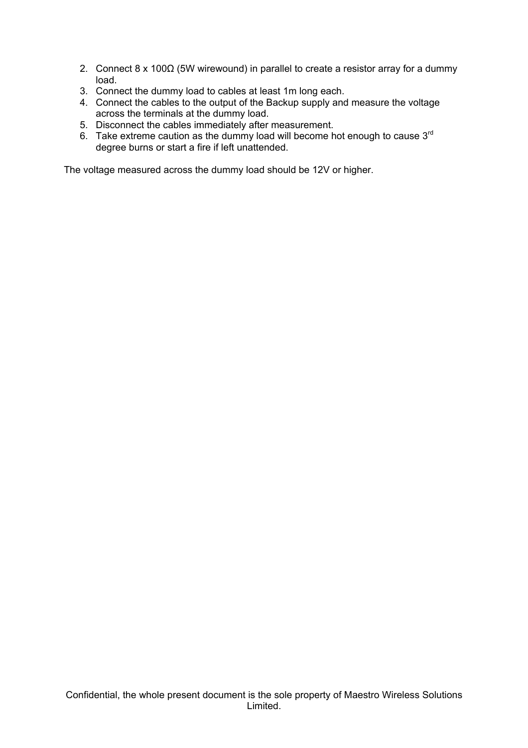- 2. Connect 8 x 100 $\Omega$  (5W wirewound) in parallel to create a resistor array for a dummy load.
- 3. Connect the dummy load to cables at least 1m long each.
- 4. Connect the cables to the output of the Backup supply and measure the voltage across the terminals at the dummy load.
- 5. Disconnect the cables immediately after measurement.
- 6. Take extreme caution as the dummy load will become hot enough to cause  $3<sup>rd</sup>$ degree burns or start a fire if left unattended.

The voltage measured across the dummy load should be 12V or higher.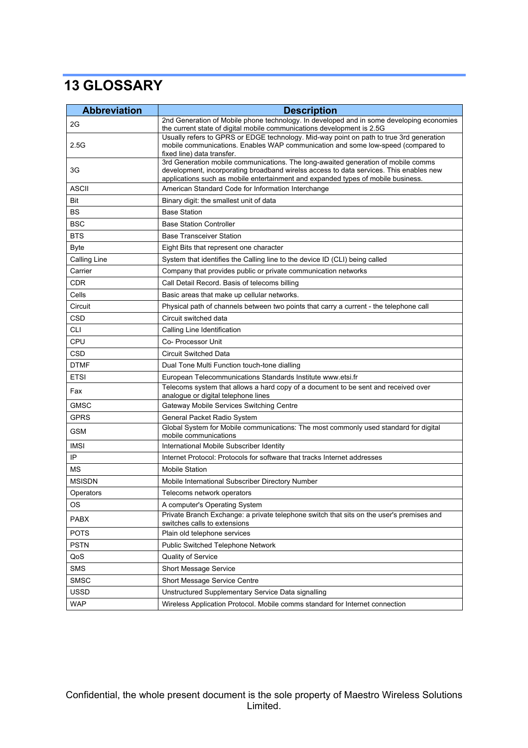# **13 GLOSSARY**

| <b>Abbreviation</b> | <b>Description</b>                                                                                                                                                                                                                                              |  |  |
|---------------------|-----------------------------------------------------------------------------------------------------------------------------------------------------------------------------------------------------------------------------------------------------------------|--|--|
| 2G                  | 2nd Generation of Mobile phone technology. In developed and in some developing economies<br>the current state of digital mobile communications development is 2.5G                                                                                              |  |  |
| 2.5G                | Usually refers to GPRS or EDGE technology. Mid-way point on path to true 3rd generation<br>mobile communications. Enables WAP communication and some low-speed (compared to<br>fixed line) data transfer.                                                       |  |  |
| 3G                  | 3rd Generation mobile communications. The long-awaited generation of mobile comms<br>development, incorporating broadband wirelss access to data services. This enables new<br>applications such as mobile entertainment and expanded types of mobile business. |  |  |
| <b>ASCII</b>        | American Standard Code for Information Interchange                                                                                                                                                                                                              |  |  |
| Bit                 | Binary digit: the smallest unit of data                                                                                                                                                                                                                         |  |  |
| BS                  | <b>Base Station</b>                                                                                                                                                                                                                                             |  |  |
| <b>BSC</b>          | <b>Base Station Controller</b>                                                                                                                                                                                                                                  |  |  |
| <b>BTS</b>          | <b>Base Transceiver Station</b>                                                                                                                                                                                                                                 |  |  |
| <b>Byte</b>         | Eight Bits that represent one character                                                                                                                                                                                                                         |  |  |
| Calling Line        | System that identifies the Calling line to the device ID (CLI) being called                                                                                                                                                                                     |  |  |
| Carrier             | Company that provides public or private communication networks                                                                                                                                                                                                  |  |  |
| <b>CDR</b>          | Call Detail Record. Basis of telecoms billing                                                                                                                                                                                                                   |  |  |
| Cells               | Basic areas that make up cellular networks.                                                                                                                                                                                                                     |  |  |
| Circuit             | Physical path of channels between two points that carry a current - the telephone call                                                                                                                                                                          |  |  |
| <b>CSD</b>          | Circuit switched data                                                                                                                                                                                                                                           |  |  |
| <b>CLI</b>          | Calling Line Identification                                                                                                                                                                                                                                     |  |  |
| CPU                 | Co- Processor Unit                                                                                                                                                                                                                                              |  |  |
| CSD                 | <b>Circuit Switched Data</b>                                                                                                                                                                                                                                    |  |  |
| <b>DTMF</b>         | Dual Tone Multi Function touch-tone dialling                                                                                                                                                                                                                    |  |  |
| <b>ETSI</b>         | European Telecommunications Standards Institute www.etsi.fr                                                                                                                                                                                                     |  |  |
| Fax                 | Telecoms system that allows a hard copy of a document to be sent and received over<br>analogue or digital telephone lines                                                                                                                                       |  |  |
| <b>GMSC</b>         | Gateway Mobile Services Switching Centre                                                                                                                                                                                                                        |  |  |
| <b>GPRS</b>         | General Packet Radio System                                                                                                                                                                                                                                     |  |  |
| <b>GSM</b>          | Global System for Mobile communications: The most commonly used standard for digital<br>mobile communications                                                                                                                                                   |  |  |
| <b>IMSI</b>         | International Mobile Subscriber Identity                                                                                                                                                                                                                        |  |  |
| IP                  | Internet Protocol: Protocols for software that tracks Internet addresses                                                                                                                                                                                        |  |  |
| MS                  | <b>Mobile Station</b>                                                                                                                                                                                                                                           |  |  |
| <b>MSISDN</b>       | Mobile International Subscriber Directory Number                                                                                                                                                                                                                |  |  |
| Operators           | Telecoms network operators                                                                                                                                                                                                                                      |  |  |
| <b>OS</b>           | A computer's Operating System                                                                                                                                                                                                                                   |  |  |
| <b>PABX</b>         | Private Branch Exchange: a private telephone switch that sits on the user's premises and<br>switches calls to extensions                                                                                                                                        |  |  |
| <b>POTS</b>         | Plain old telephone services                                                                                                                                                                                                                                    |  |  |
| <b>PSTN</b>         | Public Switched Telephone Network                                                                                                                                                                                                                               |  |  |
| QoS                 | Quality of Service                                                                                                                                                                                                                                              |  |  |
| <b>SMS</b>          | <b>Short Message Service</b>                                                                                                                                                                                                                                    |  |  |
| <b>SMSC</b>         | Short Message Service Centre                                                                                                                                                                                                                                    |  |  |
| <b>USSD</b>         | Unstructured Supplementary Service Data signalling                                                                                                                                                                                                              |  |  |
| <b>WAP</b>          | Wireless Application Protocol. Mobile comms standard for Internet connection                                                                                                                                                                                    |  |  |